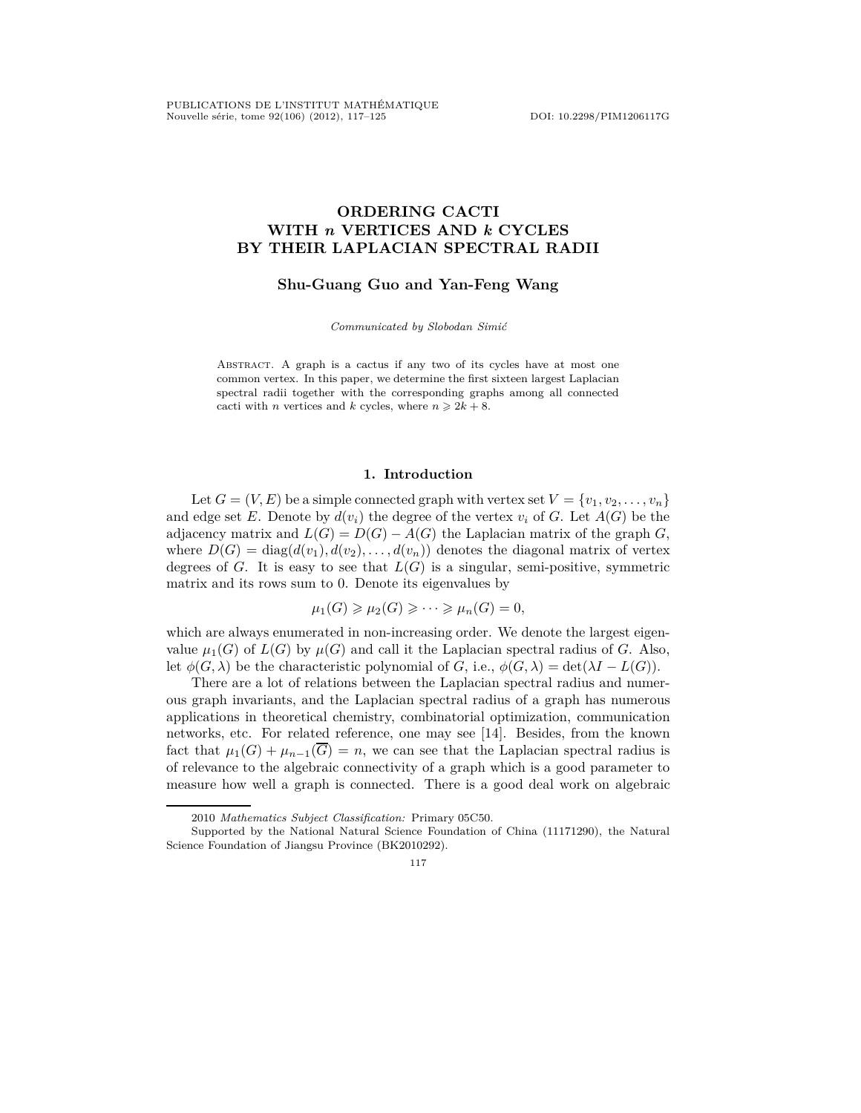# **ORDERING CACTI WITH** *n* **VERTICES AND** *k* **CYCLES BY THEIR LAPLACIAN SPECTRAL RADII**

# **Shu-Guang Guo and Yan-Feng Wang**

*Communicated by Slobodan Simić*

Abstract. A graph is a cactus if any two of its cycles have at most one common vertex. In this paper, we determine the first sixteen largest Laplacian spectral radii together with the corresponding graphs among all connected cacti with *n* vertices and *k* cycles, where  $n \ge 2k + 8$ .

# **1. Introduction**

Let  $G = (V, E)$  be a simple connected graph with vertex set  $V = \{v_1, v_2, \ldots, v_n\}$ and edge set *E*. Denote by  $d(v_i)$  the degree of the vertex  $v_i$  of *G*. Let  $A(G)$  be the adjacency matrix and  $L(G) = D(G) - A(G)$  the Laplacian matrix of the graph *G*, where  $D(G) = \text{diag}(d(v_1), d(v_2), \ldots, d(v_n))$  denotes the diagonal matrix of vertex degrees of *G*. It is easy to see that  $L(G)$  is a singular, semi-positive, symmetric matrix and its rows sum to 0. Denote its eigenvalues by

$$
\mu_1(G) \geqslant \mu_2(G) \geqslant \cdots \geqslant \mu_n(G) = 0,
$$

which are always enumerated in non-increasing order. We denote the largest eigenvalue  $\mu_1(G)$  of  $L(G)$  by  $\mu(G)$  and call it the Laplacian spectral radius of *G*. Also, let  $\phi(G, \lambda)$  be the characteristic polynomial of *G*, i.e.,  $\phi(G, \lambda) = \det(\lambda I - L(G)).$ 

There are a lot of relations between the Laplacian spectral radius and numerous graph invariants, and the Laplacian spectral radius of a graph has numerous applications in theoretical chemistry, combinatorial optimization, communication networks, etc. For related reference, one may see [14]. Besides, from the known fact that  $\mu_1(G) + \mu_{n-1}(\overline{G}) = n$ , we can see that the Laplacian spectral radius is of relevance to the algebraic connectivity of a graph which is a good parameter to measure how well a graph is connected. There is a good deal work on algebraic

<sup>2010</sup> *Mathematics Subject Classification:* Primary 05C50.

Supported by the National Natural Science Foundation of China (11171290), the Natural Science Foundation of Jiangsu Province (BK2010292).

<sup>117</sup>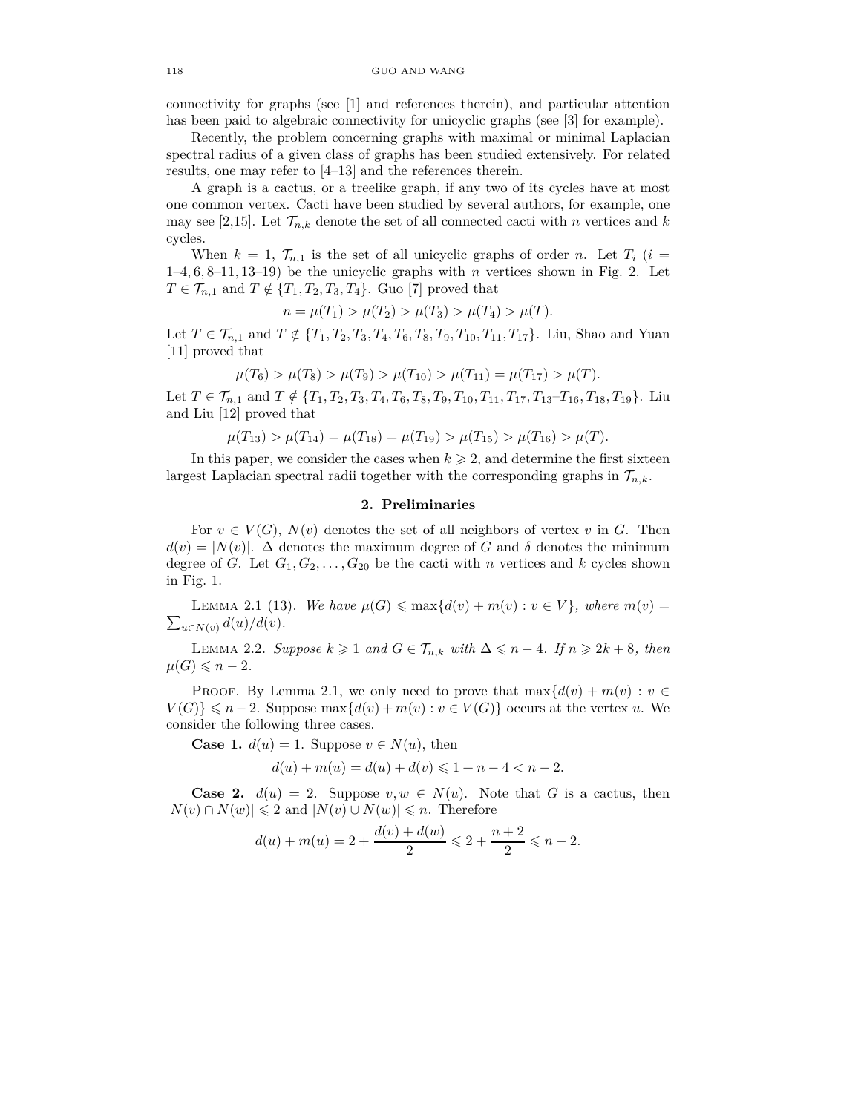connectivity for graphs (see [1] and references therein), and particular attention has been paid to algebraic connectivity for unicyclic graphs (see [3] for example).

Recently, the problem concerning graphs with maximal or minimal Laplacian spectral radius of a given class of graphs has been studied extensively. For related results, one may refer to [4–13] and the references therein.

A graph is a cactus, or a treelike graph, if any two of its cycles have at most one common vertex. Cacti have been studied by several authors, for example, one may see [2,15]. Let  $\mathcal{T}_{n,k}$  denote the set of all connected cacti with *n* vertices and *k* cycles.

When  $k = 1$ ,  $\mathcal{T}_{n,1}$  is the set of all unicyclic graphs of order *n*. Let  $T_i$  (*i* = 1–4*,* 6*,* 8–11*,* 13–19) be the unicyclic graphs with *n* vertices shown in Fig. 2. Let  $T \in \mathcal{T}_{n,1}$  and  $T \notin \{T_1, T_2, T_3, T_4\}$ . Guo [7] proved that

$$
n = \mu(T_1) > \mu(T_2) > \mu(T_3) > \mu(T_4) > \mu(T).
$$

Let  $T \in \mathcal{T}_{n,1}$  and  $T \notin \{T_1, T_2, T_3, T_4, T_6, T_8, T_9, T_{10}, T_{11}, T_{17}\}$ . Liu, Shao and Yuan [11] proved that

$$
\mu(T_6) > \mu(T_8) > \mu(T_9) > \mu(T_{10}) > \mu(T_{11}) = \mu(T_{17}) > \mu(T).
$$

Let  $T \in \mathcal{T}_{n,1}$  and  $T \notin \{T_1, T_2, T_3, T_4, T_6, T_8, T_9, T_{10}, T_{11}, T_{17}, T_{13}-T_{16}, T_{18}, T_{19}\}$ . Liu and Liu [12] proved that

$$
\mu(T_{13}) > \mu(T_{14}) = \mu(T_{18}) = \mu(T_{19}) > \mu(T_{15}) > \mu(T_{16}) > \mu(T).
$$

In this paper, we consider the cases when  $k \geq 2$ , and determine the first sixteen largest Laplacian spectral radii together with the corresponding graphs in  $\mathcal{T}_{n,k}$ .

### **2. Preliminaries**

For  $v \in V(G)$ ,  $N(v)$  denotes the set of all neighbors of vertex v in G. Then  $d(v) = |N(v)|$ .  $\Delta$  denotes the maximum degree of *G* and *δ* denotes the minimum degree of *G*. Let  $G_1, G_2, \ldots, G_{20}$  be the cacti with *n* vertices and *k* cycles shown in Fig. 1.

 $\sum_{u \in N(v)} d(u)/d(v)$ . LEMMA 2.1 (13). We have  $\mu(G) \leq \max\{d(v) + m(v) : v \in V\}$ , where  $m(v) =$ 

LEMMA 2.2. *Suppose*  $k \geq 1$  *and*  $G \in \mathcal{T}_{n,k}$  *with* ∆ ≤ *n* − 4*.* If  $n \geq 2k + 8$ *, then*  $\mu(G) \leqslant n-2$ *.* 

PROOF. By Lemma 2.1, we only need to prove that  $\max\{d(v) + m(v) : v \in$  $V(G) \leq n-2$ . Suppose  $\max\{d(v) + m(v) : v \in V(G)\}$  occurs at the vertex *u*. We consider the following three cases.

**Case 1.**  $d(u) = 1$ . Suppose  $v \in N(u)$ , then

$$
d(u) + m(u) = d(u) + d(v) \leq 1 + n - 4 < n - 2.
$$

**Case 2.**  $d(u) = 2$ . Suppose  $v, w \in N(u)$ . Note that *G* is a cactus, then  $|N(v) \cap N(w)| \leq 2$  and  $|N(v) \cup N(w)| \leq n$ . Therefore

$$
d(u) + m(u) = 2 + \frac{d(v) + d(w)}{2} \leq 2 + \frac{n+2}{2} \leq n - 2.
$$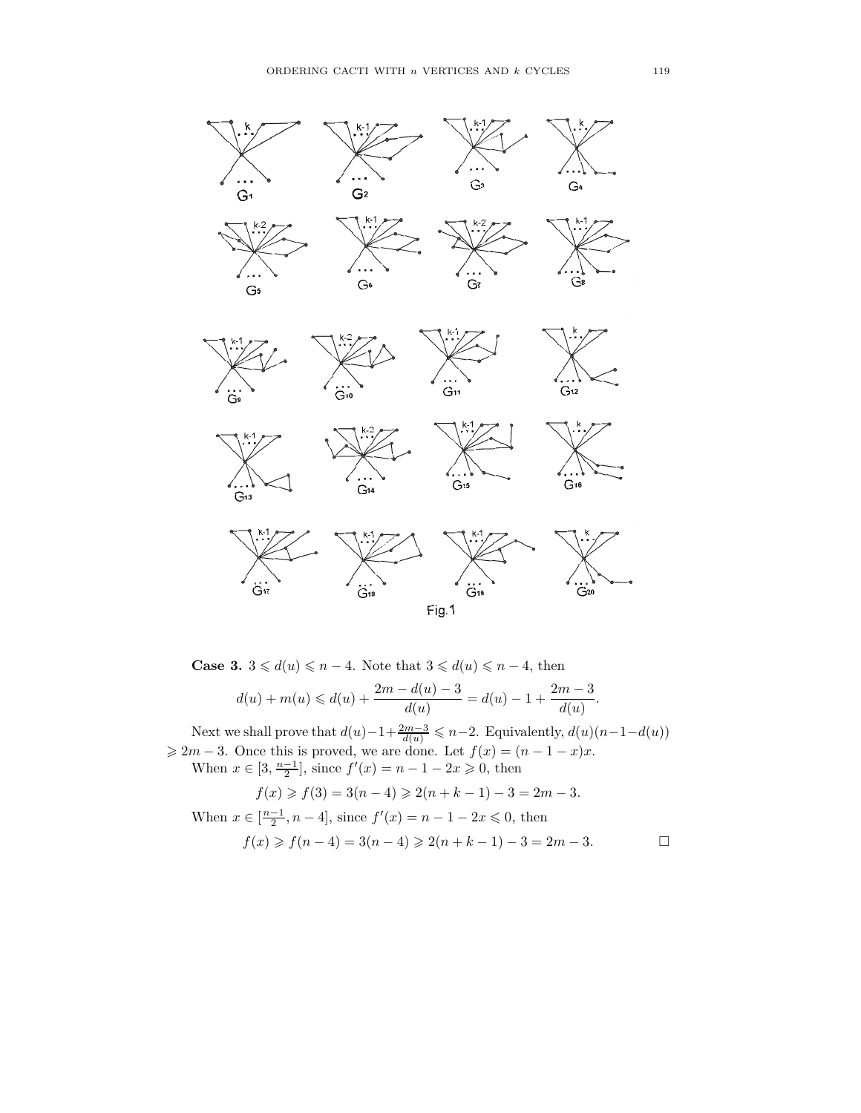

**Case 3.**  $3 \le d(u) \le n - 4$ . Note that  $3 \le d(u) \le n - 4$ , then  $d(u) + m(u) \leq d(u) + \frac{2m - d(u) - 3}{d(u)} = d(u) - 1 + \frac{2m - 3}{d(u)}$  $\frac{du}{d(u)}$ .

Next we shall prove that  $d(u) - 1 + \frac{2m-3}{d(u)} \leq n-2$ . Equivalently,  $d(u)(n-1-d(u))$  $\geq 2m - 3$ . Once this is proved, we are done. Let  $f(x) = (n - 1 - x)x$ .

When  $x \in [3, \frac{n-1}{2}]$ , since  $f'(x) = n - 1 - 2x \ge 0$ , then

$$
f(x) \ge f(3) = 3(n-4) \ge 2(n+k-1) - 3 = 2m - 3.
$$

When  $x \in \left[\frac{n-1}{2}, n-4\right]$ , since  $f'(x) = n-1-2x \leq 0$ , then  $f(x) \geq f(n-4) = 3(n-4) \geq 2(n+k-1) - 3 = 2m - 3.$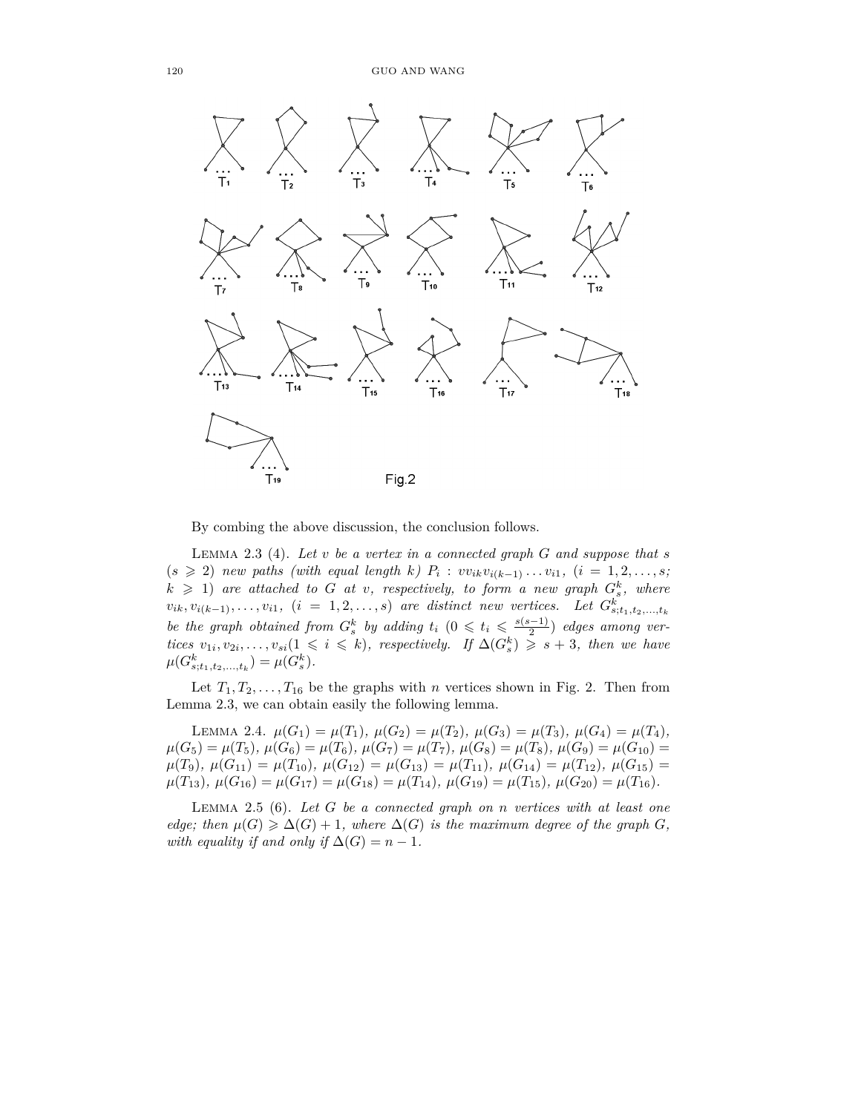

By combing the above discussion, the conclusion follows.

LEMMA 2.3 (4). Let  $v$  be a vertex in a connected graph  $G$  and suppose that  $s$  $(s \ge 2)$  *new paths (with equal length k)*  $P_i : v_{i,k}v_{i(k-1)} \ldots v_{i1}, \ (i = 1, 2, \ldots, s;$  $k \geq 1$  are attached to *G* at *v*, respectively, to form a new graph  $G_s^k$ , where  $v_{ik}, v_{i(k-1)}, \ldots, v_{i1}, (i = 1, 2, \ldots, s)$  are distinct new vertices. Let  $G_{s,t_1,t_2,\ldots,t_k}^k$ *be the graph obtained from*  $G_s^k$  *by adding*  $t_i$   $(0 \leq t_i \leq \frac{s(s-1)}{2})$  $\frac{(-1)}{2}$  *edges among vertices*  $v_{1i}, v_{2i}, \ldots, v_{si}(1 \leq i \leq k)$ , respectively. If  $\Delta(G_s^k) \geq s + 3$ , then we have  $\mu(G_{s,t_1,t_2,...,t_k}^k) = \mu(G_s^k).$ 

Let  $T_1, T_2, \ldots, T_{16}$  be the graphs with *n* vertices shown in Fig. 2. Then from Lemma 2.3, we can obtain easily the following lemma.

LEMMA 2.4.  $\mu(G_1) = \mu(T_1), \mu(G_2) = \mu(T_2), \mu(G_3) = \mu(T_3), \mu(G_4) = \mu(T_4),$  $\mu(G_5) = \mu(T_5), \mu(G_6) = \mu(T_6), \mu(G_7) = \mu(T_7), \mu(G_8) = \mu(T_8), \mu(G_9) = \mu(G_{10}) =$  $\mu(T_9), \ \mu(G_{11}) = \mu(T_{10}), \ \mu(G_{12}) = \mu(G_{13}) = \mu(T_{11}), \ \mu(G_{14}) = \mu(T_{12}), \ \mu(G_{15}) =$  $\mu(T_{13}), \mu(G_{16}) = \mu(G_{17}) = \mu(G_{18}) = \mu(T_{14}), \mu(G_{19}) = \mu(T_{15}), \mu(G_{20}) = \mu(T_{16}).$ 

Lemma 2.5 (6). *Let G be a connected graph on n vertices with at least one edge; then*  $\mu(G) \geq \Delta(G) + 1$ *, where*  $\Delta(G)$  *is the maximum degree of the graph G, with equality if and only if*  $\Delta(G) = n - 1$ *.*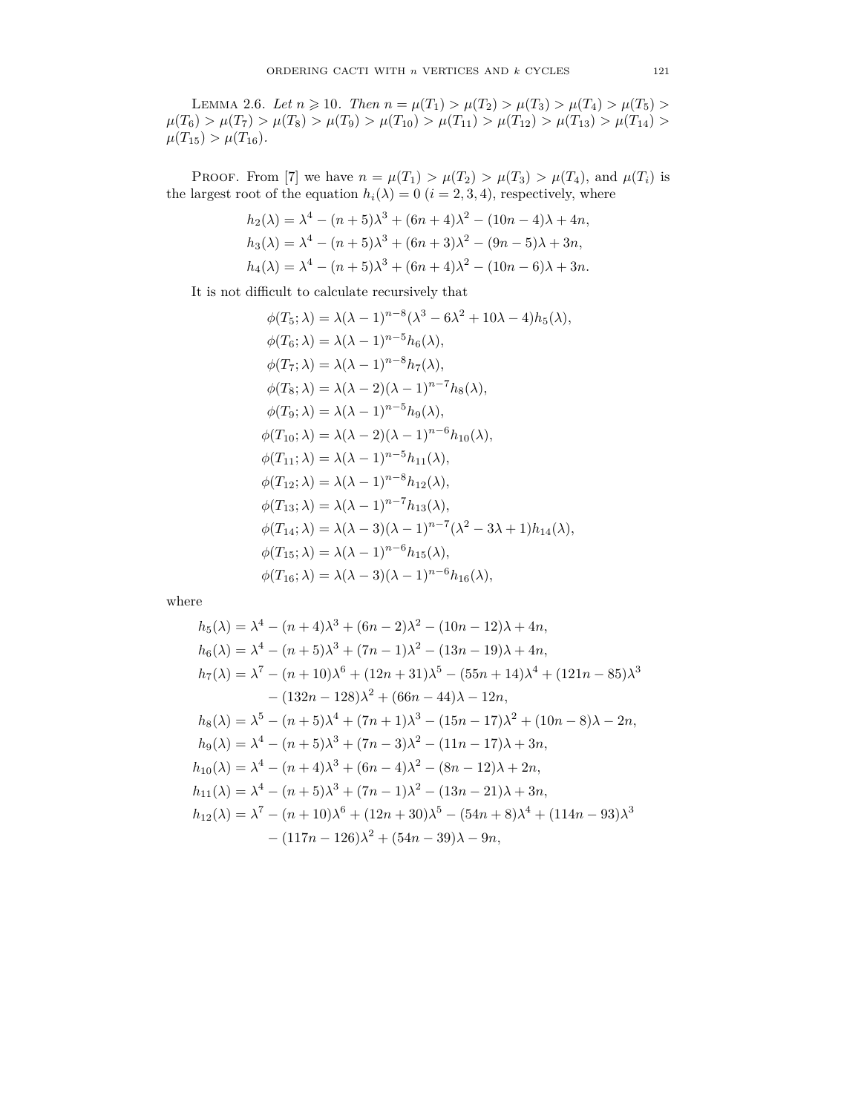LEMMA 2.6. Let  $n \geq 10$ . Then  $n = \mu(T_1) > \mu(T_2) > \mu(T_3) > \mu(T_4) > \mu(T_5) >$  $\mu(T_6) > \mu(T_7) > \mu(T_8) > \mu(T_9) > \mu(T_{10}) > \mu(T_{11}) > \mu(T_{12}) > \mu(T_{13}) > \mu(T_{14}) >$  $\mu(T_{15}) > \mu(T_{16}).$ 

PROOF. From [7] we have  $n = \mu(T_1) > \mu(T_2) > \mu(T_3) > \mu(T_4)$ , and  $\mu(T_i)$  is the largest root of the equation  $h_i(\lambda) = 0$  ( $i = 2, 3, 4$ ), respectively, where

$$
h_2(\lambda) = \lambda^4 - (n+5)\lambda^3 + (6n+4)\lambda^2 - (10n-4)\lambda + 4n,
$$
  
\n
$$
h_3(\lambda) = \lambda^4 - (n+5)\lambda^3 + (6n+3)\lambda^2 - (9n-5)\lambda + 3n,
$$
  
\n
$$
h_4(\lambda) = \lambda^4 - (n+5)\lambda^3 + (6n+4)\lambda^2 - (10n-6)\lambda + 3n.
$$

It is not difficult to calculate recursively that

$$
\phi(T_5; \lambda) = \lambda(\lambda - 1)^{n-8}(\lambda^3 - 6\lambda^2 + 10\lambda - 4)h_5(\lambda),
$$
  
\n
$$
\phi(T_6; \lambda) = \lambda(\lambda - 1)^{n-5}h_6(\lambda),
$$
  
\n
$$
\phi(T_7; \lambda) = \lambda(\lambda - 1)^{n-8}h_7(\lambda),
$$
  
\n
$$
\phi(T_8; \lambda) = \lambda(\lambda - 2)(\lambda - 1)^{n-7}h_8(\lambda),
$$
  
\n
$$
\phi(T_9; \lambda) = \lambda(\lambda - 2)(\lambda - 1)^{n-6}h_{10}(\lambda),
$$
  
\n
$$
\phi(T_{10}; \lambda) = \lambda(\lambda - 2)(\lambda - 1)^{n-6}h_{10}(\lambda),
$$
  
\n
$$
\phi(T_{11}; \lambda) = \lambda(\lambda - 1)^{n-5}h_{11}(\lambda),
$$
  
\n
$$
\phi(T_{12}; \lambda) = \lambda(\lambda - 1)^{n-8}h_{12}(\lambda),
$$
  
\n
$$
\phi(T_{13}; \lambda) = \lambda(\lambda - 1)^{n-7}h_{13}(\lambda),
$$
  
\n
$$
\phi(T_{14}; \lambda) = \lambda(\lambda - 3)(\lambda - 1)^{n-7}(\lambda^2 - 3\lambda + 1)h_{14}(\lambda),
$$
  
\n
$$
\phi(T_{16}; \lambda) = \lambda(\lambda - 3)(\lambda - 1)^{n-6}h_{16}(\lambda),
$$
  
\n
$$
\phi(T_{16}; \lambda) = \lambda(\lambda - 3)(\lambda - 1)^{n-6}h_{16}(\lambda),
$$

where

$$
h_5(\lambda) = \lambda^4 - (n+4)\lambda^3 + (6n-2)\lambda^2 - (10n-12)\lambda + 4n,
$$
  
\n
$$
h_6(\lambda) = \lambda^4 - (n+5)\lambda^3 + (7n-1)\lambda^2 - (13n-19)\lambda + 4n,
$$
  
\n
$$
h_7(\lambda) = \lambda^7 - (n+10)\lambda^6 + (12n+31)\lambda^5 - (55n+14)\lambda^4 + (121n-85)\lambda^3
$$
  
\n
$$
- (132n-128)\lambda^2 + (66n-44)\lambda - 12n,
$$
  
\n
$$
h_8(\lambda) = \lambda^5 - (n+5)\lambda^4 + (7n+1)\lambda^3 - (15n-17)\lambda^2 + (10n-8)\lambda - 2n,
$$
  
\n
$$
h_9(\lambda) = \lambda^4 - (n+5)\lambda^3 + (7n-3)\lambda^2 - (11n-17)\lambda + 3n,
$$
  
\n
$$
h_{10}(\lambda) = \lambda^4 - (n+4)\lambda^3 + (6n-4)\lambda^2 - (8n-12)\lambda + 2n,
$$
  
\n
$$
h_{11}(\lambda) = \lambda^4 - (n+5)\lambda^3 + (7n-1)\lambda^2 - (13n-21)\lambda + 3n,
$$
  
\n
$$
h_{12}(\lambda) = \lambda^7 - (n+10)\lambda^6 + (12n+30)\lambda^5 - (54n+8)\lambda^4 + (114n-93)\lambda^3 - (117n-126)\lambda^2 + (54n-39)\lambda - 9n,
$$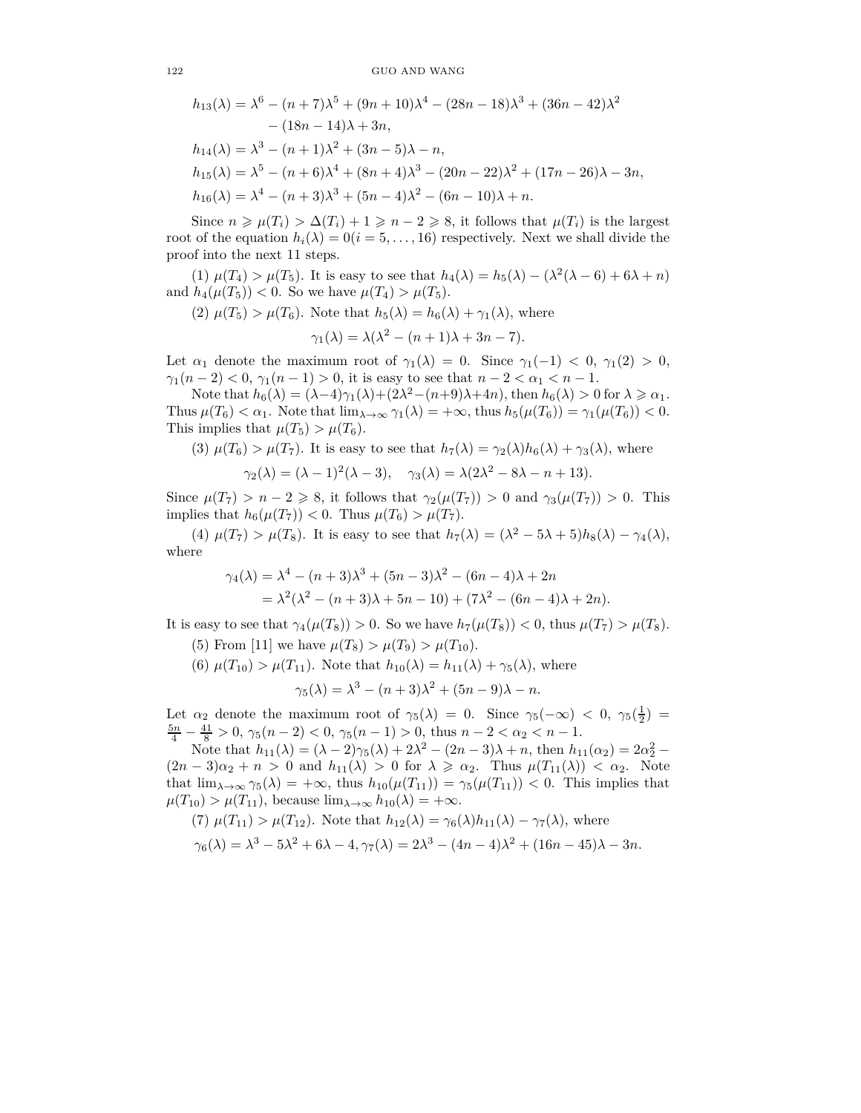122 GUO AND WANG

$$
h_{13}(\lambda) = \lambda^6 - (n+7)\lambda^5 + (9n+10)\lambda^4 - (28n-18)\lambda^3 + (36n-42)\lambda^2
$$
  
– (18n - 14)\lambda + 3n,  

$$
h_{14}(\lambda) = \lambda^3 - (n+1)\lambda^2 + (3n-5)\lambda - n,
$$
  

$$
h_{15}(\lambda) = \lambda^5 - (n+6)\lambda^4 + (8n+4)\lambda^3 - (20n-22)\lambda^2 + (17n-26)\lambda - 3n,
$$
  

$$
h_{16}(\lambda) = \lambda^4 - (n+3)\lambda^3 + (5n-4)\lambda^2 - (6n-10)\lambda + n.
$$

Since  $n \ge \mu(T_i) > \Delta(T_i) + 1 \ge n - 2 \ge 8$ , it follows that  $\mu(T_i)$  is the largest root of the equation  $h_i(\lambda) = 0$  ( $i = 5, \ldots, 16$ ) respectively. Next we shall divide the proof into the next 11 steps.

(1)  $\mu(T_4) > \mu(T_5)$ . It is easy to see that  $h_4(\lambda) = h_5(\lambda) - (\lambda^2(\lambda - 6) + 6\lambda + n)$ and  $h_4(\mu(T_5)) < 0$ . So we have  $\mu(T_4) > \mu(T_5)$ .

(2)  $\mu(T_5) > \mu(T_6)$ . Note that  $h_5(\lambda) = h_6(\lambda) + \gamma_1(\lambda)$ , where

$$
\gamma_1(\lambda) = \lambda(\lambda^2 - (n+1)\lambda + 3n - 7).
$$

Let  $\alpha_1$  denote the maximum root of  $\gamma_1(\lambda) = 0$ . Since  $\gamma_1(-1) < 0$ ,  $\gamma_1(2) > 0$ , *γ*<sub>1</sub> $(n-2) < 0$ , *γ*<sub>1</sub> $(n-1) > 0$ , it is easy to see that  $n-2 < \alpha_1 < n-1$ .

Note that  $h_6(\lambda) = (\lambda - 4)\gamma_1(\lambda) + (2\lambda^2 - (n+9)\lambda + 4n)$ , then  $h_6(\lambda) > 0$  for  $\lambda \geq \alpha_1$ . Thus  $\mu(T_6) < \alpha_1$ . Note that  $\lim_{\lambda \to \infty} \gamma_1(\lambda) = +\infty$ , thus  $h_5(\mu(T_6)) = \gamma_1(\mu(T_6)) < 0$ . This implies that  $\mu(T_5) > \mu(T_6)$ .

(3) 
$$
\mu(T_6) > \mu(T_7)
$$
. It is easy to see that  $h_7(\lambda) = \gamma_2(\lambda)h_6(\lambda) + \gamma_3(\lambda)$ , where

$$
\gamma_2(\lambda) = (\lambda - 1)^2(\lambda - 3), \quad \gamma_3(\lambda) = \lambda(2\lambda^2 - 8\lambda - n + 13).
$$

Since  $\mu(T_7) > n - 2 \ge 8$ , it follows that  $\gamma_2(\mu(T_7)) > 0$  and  $\gamma_3(\mu(T_7)) > 0$ . This implies that  $h_6(\mu(T_7)) < 0$ . Thus  $\mu(T_6) > \mu(T_7)$ .

(4)  $\mu(T_7) > \mu(T_8)$ . It is easy to see that  $h_7(\lambda) = (\lambda^2 - 5\lambda + 5)h_8(\lambda) - \gamma_4(\lambda)$ , where

$$
\gamma_4(\lambda) = \lambda^4 - (n+3)\lambda^3 + (5n-3)\lambda^2 - (6n-4)\lambda + 2n
$$
  
= 
$$
\lambda^2(\lambda^2 - (n+3)\lambda + 5n - 10) + (7\lambda^2 - (6n-4)\lambda + 2n).
$$

It is easy to see that  $\gamma_4(\mu(T_8)) > 0$ . So we have  $h_7(\mu(T_8)) < 0$ , thus  $\mu(T_7) > \mu(T_8)$ .

(5) From [11] we have  $\mu(T_8) > \mu(T_9) > \mu(T_{10})$ .

(6)  $\mu(T_{10}) > \mu(T_{11})$ . Note that  $h_{10}(\lambda) = h_{11}(\lambda) + \gamma_5(\lambda)$ , where

$$
\gamma_5(\lambda) = \lambda^3 - (n+3)\lambda^2 + (5n-9)\lambda - n.
$$

Let  $\alpha_2$  denote the maximum root of  $\gamma_5(\lambda) = 0$ . Since  $\gamma_5(-\infty) < 0$ ,  $\gamma_5(\frac{1}{2}) =$  $\frac{5n}{4} - \frac{41}{8} > 0$ ,  $\gamma_5(n-2) < 0$ ,  $\gamma_5(n-1) > 0$ , thus  $n-2 < \alpha_2 < n-1$ .

Note that  $h_{11}(\lambda) = (\lambda - 2)\gamma_5(\lambda) + 2\lambda^2 - (2n - 3)\lambda + n$ , then  $h_{11}(\alpha_2) = 2\alpha_2^2 (2n-3)\alpha_2 + n > 0$  and  $h_{11}(\lambda) > 0$  for  $\lambda \geq \alpha_2$ . Thus  $\mu(T_{11}(\lambda)) < \alpha_2$ . Note that  $\lim_{\lambda \to \infty} \gamma_5(\lambda) = +\infty$ , thus  $h_{10}(\mu(T_{11})) = \gamma_5(\mu(T_{11})) < 0$ . This implies that  $\mu(T_{10}) > \mu(T_{11}),$  because  $\lim_{\lambda \to \infty} h_{10}(\lambda) = +\infty.$ 

(7) 
$$
\mu(T_{11}) > \mu(T_{12})
$$
. Note that  $h_{12}(\lambda) = \gamma_6(\lambda)h_{11}(\lambda) - \gamma_7(\lambda)$ , where  $\gamma_6(\lambda) = \lambda^3 - 5\lambda^2 + 6\lambda - 4$ ,  $\gamma_7(\lambda) = 2\lambda^3 - (4n - 4)\lambda^2 + (16n - 45)\lambda - 3n$ .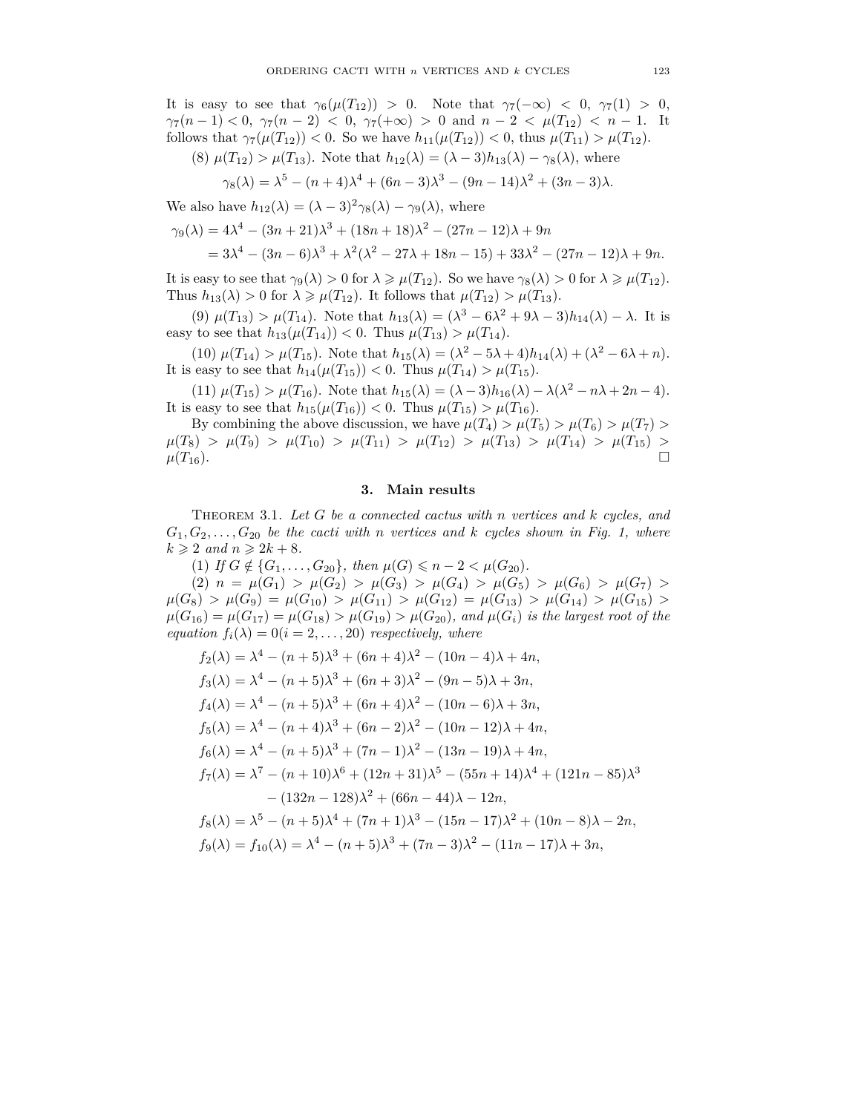It is easy to see that  $\gamma_6(\mu(T_{12})) > 0$ . Note that  $\gamma_7(-\infty) < 0$ ,  $\gamma_7(1) > 0$ , *γ*<sub>7</sub> $(n-1) < 0$ , *γ*<sub>7</sub> $(n-2) < 0$ , *γ*<sub>7</sub> $(+\infty) > 0$  and  $n-2 < \mu$ (*T*<sub>12</sub>)  $< n-1$ . It follows that  $\gamma_7(\mu(T_{12})) < 0$ . So we have  $h_{11}(\mu(T_{12})) < 0$ , thus  $\mu(T_{11}) > \mu(T_{12})$ .

(8) 
$$
\mu(T_{12}) > \mu(T_{13})
$$
. Note that  $h_{12}(\lambda) = (\lambda - 3)h_{13}(\lambda) - \gamma_8(\lambda)$ , where

$$
\gamma_8(\lambda) = \lambda^5 - (n+4)\lambda^4 + (6n-3)\lambda^3 - (9n-14)\lambda^2 + (3n-3)\lambda.
$$

We also have  $h_{12}(\lambda) = (\lambda - 3)^2 \gamma_8(\lambda) - \gamma_9(\lambda)$ , where

$$
\gamma_9(\lambda) = 4\lambda^4 - (3n+21)\lambda^3 + (18n+18)\lambda^2 - (27n-12)\lambda + 9n
$$
  
=  $3\lambda^4 - (3n-6)\lambda^3 + \lambda^2(\lambda^2 - 27\lambda + 18n - 15) + 33\lambda^2 - (27n-12)\lambda + 9n$ .

It is easy to see that  $\gamma_9(\lambda) > 0$  for  $\lambda \geq \mu(T_{12})$ . So we have  $\gamma_8(\lambda) > 0$  for  $\lambda \geq \mu(T_{12})$ . Thus  $h_{13}(\lambda) > 0$  for  $\lambda \geq \mu(T_{12})$ . It follows that  $\mu(T_{12}) > \mu(T_{13})$ .

 $(9)$   $\mu(T_{13}) > \mu(T_{14})$ . Note that  $h_{13}(\lambda) = (\lambda^3 - 6\lambda^2 + 9\lambda - 3)h_{14}(\lambda) - \lambda$ . It is easy to see that  $h_{13}(\mu(T_{14})) < 0$ . Thus  $\mu(T_{13}) > \mu(T_{14})$ .

 $(10)$   $\mu(T_{14}) > \mu(T_{15})$ . Note that  $h_{15}(\lambda) = (\lambda^2 - 5\lambda + 4)h_{14}(\lambda) + (\lambda^2 - 6\lambda + n)$ . It is easy to see that  $h_{14}(\mu(T_{15})) < 0$ . Thus  $\mu(T_{14}) > \mu(T_{15})$ .

 $(11) \mu(T_{15}) > \mu(T_{16})$ . Note that  $h_{15}(\lambda) = (\lambda - 3)h_{16}(\lambda) - \lambda(\lambda^2 - n\lambda + 2n - 4)$ . It is easy to see that  $h_{15}(\mu(T_{16})) < 0$ . Thus  $\mu(T_{15}) > \mu(T_{16})$ .

By combining the above discussion, we have  $\mu(T_4) > \mu(T_5) > \mu(T_6) > \mu(T_7) >$  $\mu(T_8) > \mu(T_9) > \mu(T_{10}) > \mu(T_{11}) > \mu(T_{12}) > \mu(T_{13}) > \mu(T_{14}) > \mu(T_{15}) >$  $\mu(T_{16})$ .

### **3. Main results**

Theorem 3.1. *Let G be a connected cactus with n vertices and k cycles, and*  $G_1, G_2, \ldots, G_{20}$  *be the cacti with n vertices* and *k cycles shown in Fig. 1, where*  $k \geqslant 2$  *and*  $n \geqslant 2k + 8$ *.* 

(1) *If*  $G \notin \{G_1, \ldots, G_{20}\}\$ , then  $\mu(G) \leq n - 2 < \mu(G_{20})\$ .

 $\mu(G_1) > \mu(G_2) > \mu(G_3) > \mu(G_4) > \mu(G_5) > \mu(G_6) > \mu(G_7) >$  $\mu(G_8) > \mu(G_9) = \mu(G_{10}) > \mu(G_{11}) > \mu(G_{12}) = \mu(G_{13}) > \mu(G_{14}) > \mu(G_{15}) >$  $\mu(G_{16}) = \mu(G_{17}) = \mu(G_{18}) > \mu(G_{19}) > \mu(G_{20})$ *, and*  $\mu(G_i)$  *is the largest root of the equation*  $f_i(\lambda) = 0 (i = 2, ..., 20)$  *respectively, where* 

$$
f_2(\lambda) = \lambda^4 - (n+5)\lambda^3 + (6n+4)\lambda^2 - (10n-4)\lambda + 4n,
$$
  
\n
$$
f_3(\lambda) = \lambda^4 - (n+5)\lambda^3 + (6n+3)\lambda^2 - (9n-5)\lambda + 3n,
$$
  
\n
$$
f_4(\lambda) = \lambda^4 - (n+5)\lambda^3 + (6n+4)\lambda^2 - (10n-6)\lambda + 3n,
$$
  
\n
$$
f_5(\lambda) = \lambda^4 - (n+4)\lambda^3 + (6n-2)\lambda^2 - (10n-12)\lambda + 4n,
$$
  
\n
$$
f_6(\lambda) = \lambda^4 - (n+5)\lambda^3 + (7n-1)\lambda^2 - (13n-19)\lambda + 4n,
$$
  
\n
$$
f_7(\lambda) = \lambda^7 - (n+10)\lambda^6 + (12n+31)\lambda^5 - (55n+14)\lambda^4 + (121n-85)\lambda^3 - (132n-128)\lambda^2 + (66n-44)\lambda - 12n,
$$
  
\n
$$
f_8(\lambda) = \lambda^5 - (n+5)\lambda^4 + (7n+1)\lambda^3 - (15n-17)\lambda^2 + (10n-8)\lambda - 2n,
$$
  
\n
$$
f_9(\lambda) = f_{10}(\lambda) = \lambda^4 - (n+5)\lambda^3 + (7n-3)\lambda^2 - (11n-17)\lambda + 3n,
$$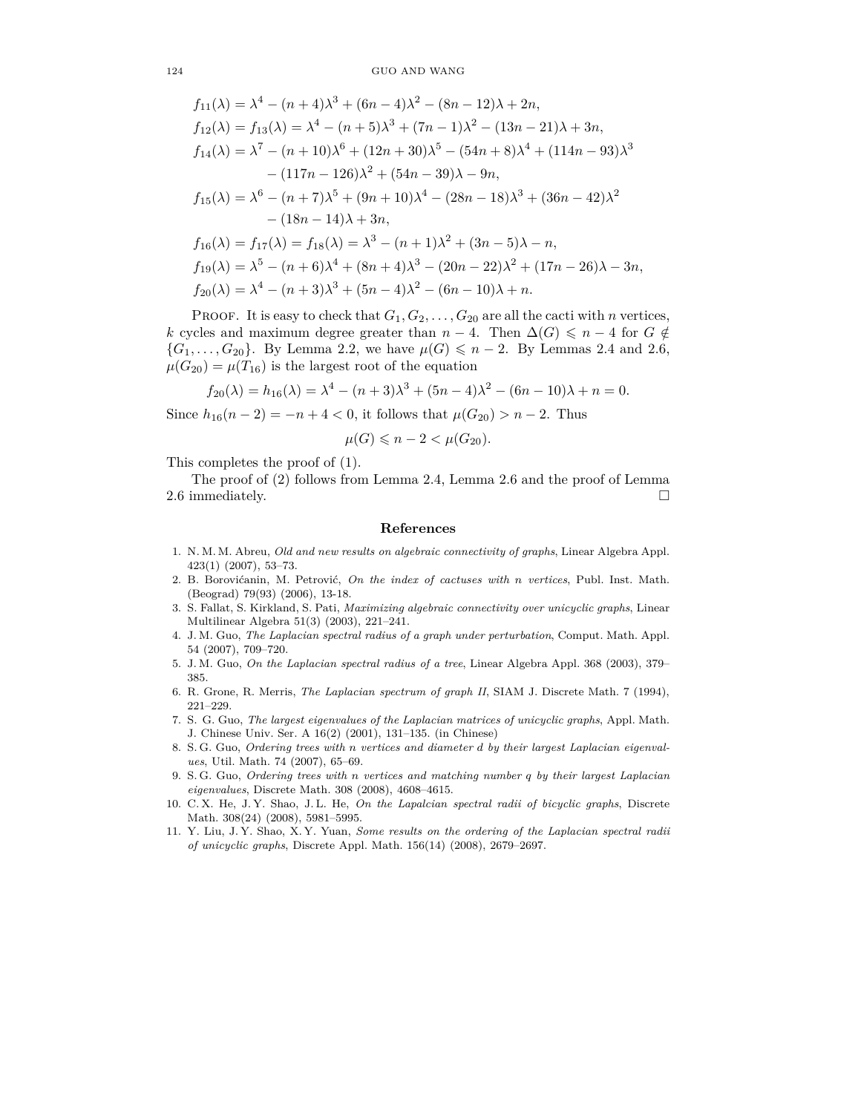$$
f_{11}(\lambda) = \lambda^4 - (n+4)\lambda^3 + (6n-4)\lambda^2 - (8n-12)\lambda + 2n,
$$
  
\n
$$
f_{12}(\lambda) = f_{13}(\lambda) = \lambda^4 - (n+5)\lambda^3 + (7n-1)\lambda^2 - (13n-21)\lambda + 3n,
$$
  
\n
$$
f_{14}(\lambda) = \lambda^7 - (n+10)\lambda^6 + (12n+30)\lambda^5 - (54n+8)\lambda^4 + (114n-93)\lambda^3 - (117n-126)\lambda^2 + (54n-39)\lambda - 9n,
$$
  
\n
$$
f_{15}(\lambda) = \lambda^6 - (n+7)\lambda^5 + (9n+10)\lambda^4 - (28n-18)\lambda^3 + (36n-42)\lambda^2 - (18n-14)\lambda + 3n,
$$
  
\n
$$
f_{16}(\lambda) = f_{17}(\lambda) = f_{18}(\lambda) = \lambda^3 - (n+1)\lambda^2 + (3n-5)\lambda - n,
$$
  
\n
$$
f_{19}(\lambda) = \lambda^5 - (n+6)\lambda^4 + (8n+4)\lambda^3 - (20n-22)\lambda^2 + (17n-26)\lambda - 3n,
$$
  
\n
$$
f_{20}(\lambda) = \lambda^4 - (n+3)\lambda^3 + (5n-4)\lambda^2 - (6n-10)\lambda + n.
$$

PROOF. It is easy to check that  $G_1, G_2, \ldots, G_{20}$  are all the cacti with *n* vertices, *k* cycles and maximum degree greater than  $n-4$ . Then  $\Delta(G) \leq n-4$  for  $G \notin$ { $G_1, ..., G_{20}$ }. By Lemma 2.2, we have  $\mu(G) \le n - 2$ . By Lemmas 2.4 and 2.6,  $\mu(G_{20}) = \mu(T_{16})$  is the largest root of the equation

$$
f_{20}(\lambda) = h_{16}(\lambda) = \lambda^4 - (n+3)\lambda^3 + (5n-4)\lambda^2 - (6n-10)\lambda + n = 0.
$$

Since  $h_{16}(n-2) = -n+4 < 0$ , it follows that  $\mu(G_{20}) > n-2$ . Thus

$$
\mu(G) \leqslant n - 2 < \mu(G_{20}).
$$

This completes the proof of (1).

The proof of (2) follows from Lemma 2.4, Lemma 2.6 and the proof of Lemma 2.6 immediately.  $\Box$ 

#### **References**

- 1. N. M. M. Abreu, *Old and new results on algebraic connectivity of graphs*, Linear Algebra Appl. 423(1) (2007), 53–73.
- 2. B. Borovićanin, M. Petrović, *On the index of cactuses with n vertices*, Publ. Inst. Math. (Beograd) 79(93) (2006), 13-18.
- 3. S. Fallat, S. Kirkland, S. Pati, *Maximizing algebraic connectivity over unicyclic graphs*, Linear Multilinear Algebra 51(3) (2003), 221–241.
- 4. J. M. Guo, *The Laplacian spectral radius of a graph under perturbation*, Comput. Math. Appl. 54 (2007), 709–720.
- 5. J. M. Guo, *On the Laplacian spectral radius of a tree*, Linear Algebra Appl. 368 (2003), 379– 385.
- 6. R. Grone, R. Merris, *The Laplacian spectrum of graph II*, SIAM J. Discrete Math. 7 (1994), 221–229.
- 7. S. G. Guo, *The largest eigenvalues of the Laplacian matrices of unicyclic graphs*, Appl. Math. J. Chinese Univ. Ser. A 16(2) (2001), 131–135. (in Chinese)
- 8. S. G. Guo, *Ordering trees with n vertices and diameter d by their largest Laplacian eigenvalues*, Util. Math. 74 (2007), 65–69.
- 9. S. G. Guo, *Ordering trees with n vertices and matching number q by their largest Laplacian eigenvalues*, Discrete Math. 308 (2008), 4608–4615.
- 10. C. X. He, J. Y. Shao, J. L. He, *On the Lapalcian spectral radii of bicyclic graphs*, Discrete Math. 308(24) (2008), 5981–5995.
- 11. Y. Liu, J. Y. Shao, X. Y. Yuan, *Some results on the ordering of the Laplacian spectral radii of unicyclic graphs*, Discrete Appl. Math. 156(14) (2008), 2679–2697.